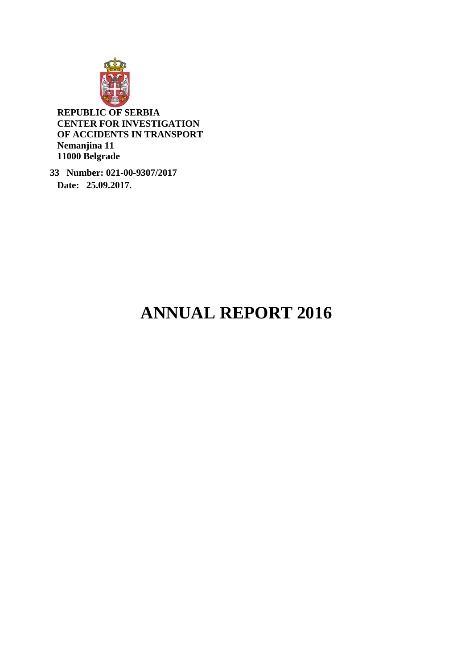

**REPUBLIC OF SERBIA CENTER FOR INVESTIGATION OF ACCIDENTS IN TRANSPORT Nemanjina 11 11000 Belgrade**

 **33 Number: 021-00-9307/2017 Date: 25.09.2017.** 

# **ANNUAL REPORT 2016**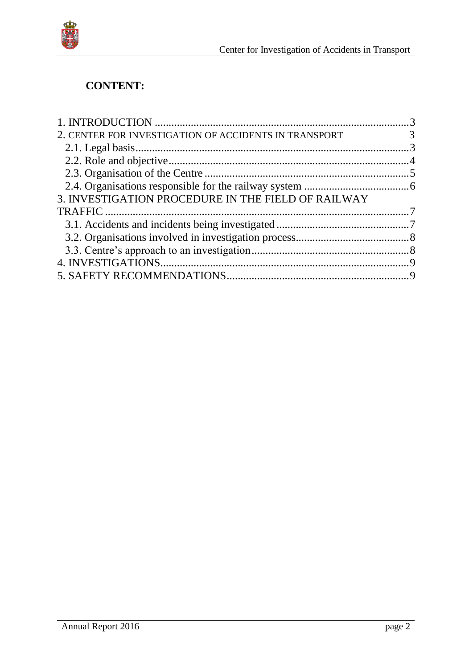

# **CONTENT:**

| 2. CENTER FOR INVESTIGATION OF ACCIDENTS IN TRANSPORT | $\overline{3}$ |
|-------------------------------------------------------|----------------|
|                                                       |                |
|                                                       |                |
|                                                       |                |
|                                                       |                |
| 3. INVESTIGATION PROCEDURE IN THE FIELD OF RAILWAY    |                |
|                                                       |                |
|                                                       |                |
|                                                       |                |
|                                                       |                |
|                                                       |                |
|                                                       |                |
|                                                       |                |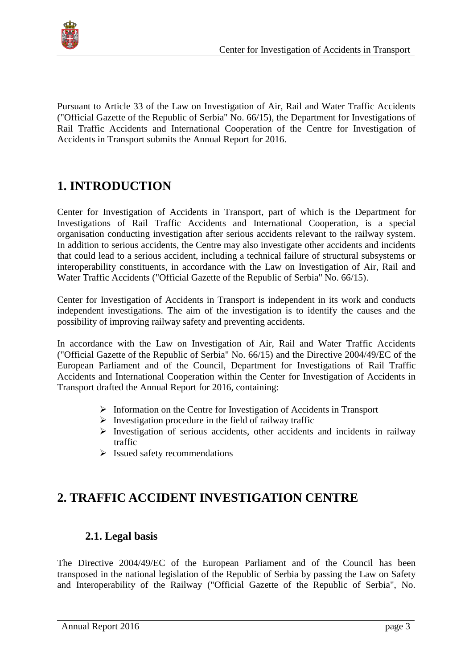

Pursuant to Article 33 of the Law on Investigation of Air, Rail and Water Traffic Accidents ("Official Gazette of the Republic of Serbia" No. 66/15), the Department for Investigations of Rail Traffic Accidents and International Cooperation of the Centre for Investigation of Accidents in Transport submits the Annual Report for 2016.

# <span id="page-2-0"></span>**1. INTRODUCTION**

Center for Investigation of Accidents in Transport, part of which is the Department for Investigations of Rail Traffic Accidents and International Cooperation, is a special organisation conducting investigation after serious accidents relevant to the railway system. In addition to serious accidents, the Centre may also investigate other accidents and incidents that could lead to a serious accident, including а technical failure of structural subsystems or interoperability constituents, in accordance with the Law on Investigation of Air, Rail and Water Traffic Accidents ("Official Gazette of the Republic of Serbia" No. 66/15).

Center for Investigation of Accidents in Transport is independent in its work and conducts independent investigations. The aim of the investigation is to identify the causes and the possibility of improving railway safety and preventing accidents.

In accordance with the Law on Investigation of Air, Rail and Water Traffic Accidents ("Official Gazette of the Republic of Serbia" No. 66/15) and the Directive 2004/49/EC of the European Parliament and of the Council, Department for Investigations of Rail Traffic Accidents and International Cooperation within the Center for Investigation of Accidents in Transport drafted the Annual Report for 2016, containing:

- $\triangleright$  Information on the Centre for Investigation of Accidents in Transport
- $\triangleright$  Investigation procedure in the field of railway traffic
- $\triangleright$  Investigation of serious accidents, other accidents and incidents in railway traffic
- $\triangleright$  Issued safety recommendations

# <span id="page-2-2"></span><span id="page-2-1"></span>**2. TRAFFIC ACCIDENT INVESTIGATION CENTRE**

#### **2.1. Legal basis**

The Directive 2004/49/EC of the European Parliament and of the Council has been transposed in the national legislation of the Republic of Serbia by passing the Law on Safety and Interoperability of the Railway ("Official Gazette of the Republic of Serbia", No.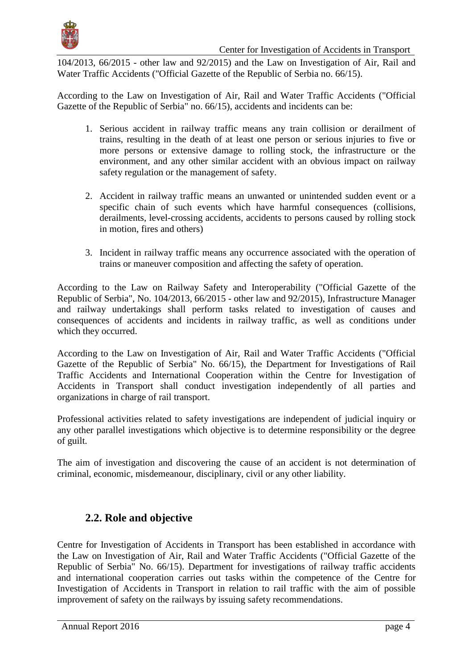

104/2013, 66/2015 - other law and 92/2015) and the Law on Investigation of Air, Rail and Water Traffic Accidents ("Official Gazette of the Republic of Serbia no. 66/15).

According to the Law on Investigation of Air, Rail and Water Traffic Accidents ("Official Gazette of the Republic of Serbia" no. 66/15), accidents and incidents can be:

- 1. Serious accident in railway traffic means any train collision or derailment of trains, resulting in the death of at least one person or serious injuries to five or more persons or extensive damage to rolling stock, the infrastructure or the environment, and any other similar accident with an obvious impact on railway safety regulation or the management of safety.
- 2. Accident in railway traffic means an unwanted or unintended sudden event or a specific chain of such events which have harmful consequences (collisions, derailments, level-crossing accidents, accidents to persons caused by rolling stock in motion, fires and others)
- 3. Incident in railway traffic means any occurrence associated with the operation of trains or maneuver composition and affecting the safety of operation.

According to the Law on Railway Safety and Interoperability ("Official Gazette of the Republic of Serbia", No. 104/2013, 66/2015 - other law and 92/2015), Infrastructure Manager and railway undertakings shall perform tasks related to investigation of causes and consequences of accidents and incidents in railway traffic, as well as conditions under which they occurred.

According to the Law on Investigation of Air, Rail and Water Traffic Accidents ("Official Gazette of the Republic of Serbia" No. 66/15), the Department for Investigations of Rail Traffic Accidents and International Cooperation within the Centre for Investigation of Accidents in Transport shall conduct investigation independently of all parties and organizations in charge of rail transport.

Professional activities related to safety investigations are independent of judicial inquiry or any other parallel investigations which objective is to determine responsibility or the degree of guilt.

The aim of investigation and discovering the cause of an accident is not determination of criminal, economic, misdemeanour, disciplinary, civil or any other liability.

#### <span id="page-3-0"></span>**2.2. Role and objective**

Centre for Investigation of Accidents in Transport has been established in accordance with the Law on Investigation of Air, Rail and Water Traffic Accidents ("Official Gazette of the Republic of Serbia" No. 66/15). Department for investigations of railway traffic accidents and international cooperation carries out tasks within the competence of the Centre for Investigation of Accidents in Transport in relation to rail traffic with the aim of possible improvement of safety on the railways by issuing safety recommendations.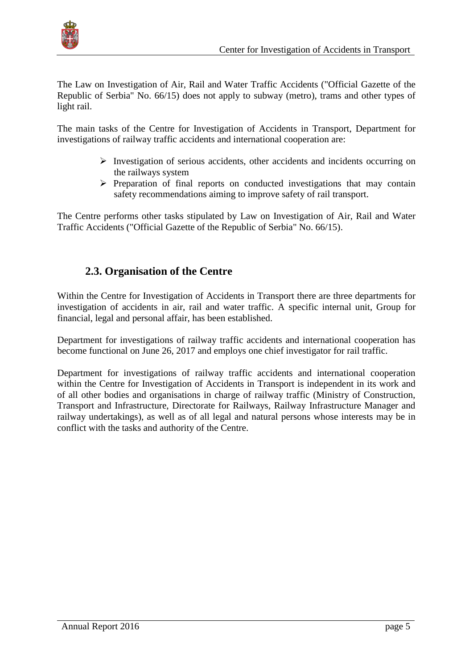

The Law on Investigation of Air, Rail and Water Traffic Accidents ("Official Gazette of the Republic of Serbia" No. 66/15) does not apply to subway (metro), trams and other types of light rail.

The main tasks of the Centre for Investigation of Accidents in Transport, Department for investigations of railway traffic accidents and international cooperation are:

- $\triangleright$  Investigation of serious accidents, other accidents and incidents occurring on the railways system
- $\triangleright$  Preparation of final reports on conducted investigations that may contain safety recommendations aiming to improve safety of rail transport.

The Centre performs other tasks stipulated by Law on Investigation of Air, Rail and Water Traffic Accidents ("Official Gazette of the Republic of Serbia" No. 66/15).

#### <span id="page-4-0"></span>**2.3. Organisation of the Centre**

Within the Centre for Investigation of Accidents in Transport there are three departments for investigation of accidents in air, rail and water traffic. A specific internal unit, Group for financial, legal and personal affair, has been established.

Department for investigations of railway traffic accidents and international cooperation has become functional on June 26, 2017 and employs one chief investigator for rail traffic.

Department for investigations of railway traffic accidents and international cooperation within the Centre for Investigation of Accidents in Transport is independent in its work and of all other bodies and organisations in charge of railway traffic (Ministry of Construction, Transport and Infrastructure, Directorate for Railways, Railway Infrastructure Manager and railway undertakings), as well as of all legal and natural persons whose interests may be in conflict with the tasks and authority of the Centre.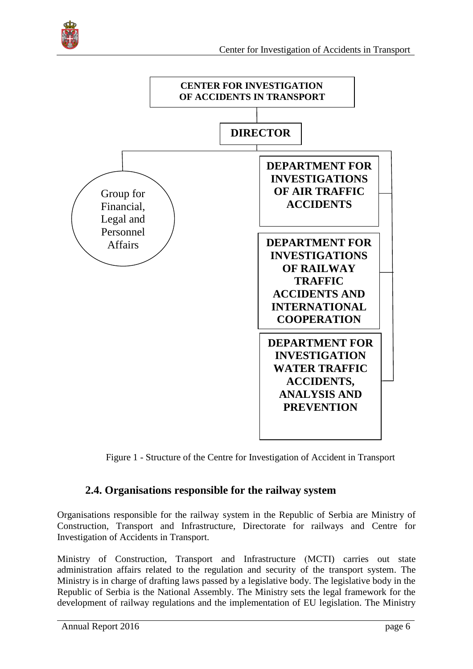



Figure 1 - Structure of the Centre for Investigation of Accident in Transport

#### <span id="page-5-0"></span>**2.4. Organisations responsible for the railway system**

Organisations responsible for the railway system in the Republic of Serbia are Ministry of Construction, Transport and Infrastructure, Directorate for railways and Centre for Investigation of Accidents in Transport.

Ministry of Construction, Transport and Infrastructure (МCTI) carries out state administration affairs related to the regulation and security of the transport system. The Ministry is in charge of drafting laws passed by a legislative body. The legislative body in the Republic of Serbia is the National Assembly. The Ministry sets the legal framework for the development of railway regulations and the implementation of EU legislation. The Ministry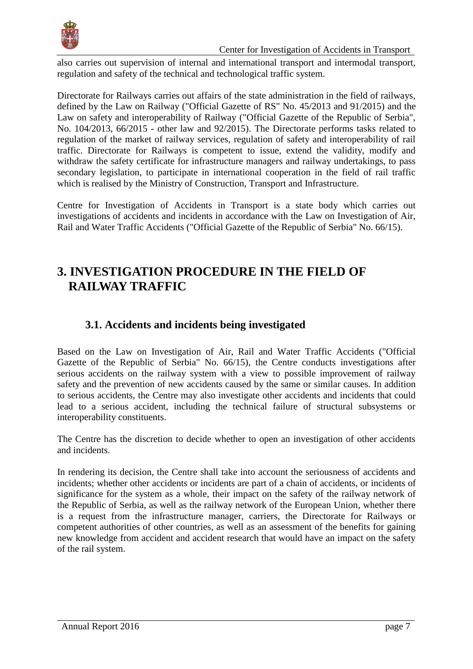

also carries out supervision of internal and international transport and intermodal transport, regulation and safety of the technical and technological traffic system.

Directorate for Railways carries out affairs of the state administration in the field of railways, defined by the Law on Railway ("Official Gazette of RS" No. 45/2013 and 91/2015) and the Law on safety and interoperability of Railway ("Official Gazette of the Republic of Serbia", No. 104/2013, 66/2015 - other law and 92/2015). The Directorate performs tasks related to regulation of the market of railway services, regulation of safety and interoperability of rail traffic. Directorate for Railways is competent to issue, extend the validity, modify and withdraw the safety certificate for infrastructure managers and railway undertakings, to pass secondary legislation, to participate in international cooperation in the field of rail traffic which is realised by the Ministry of Construction, Transport and Infrastructure.

Centre for Investigation of Accidents in Transport is a state body which carries out investigations of accidents and incidents in accordance with the Law on Investigation of Air, Rail and Water Traffic Accidents ("Official Gazette of the Republic of Serbia" No. 66/15).

## <span id="page-6-0"></span>**3. INVESTIGATION PROCEDURE IN THE FIELD OF RAILWAY TRAFFIC**

#### <span id="page-6-1"></span>**3.1. Accidents and incidents being investigated**

Based on the Law on Investigation of Air, Rail and Water Traffic Accidents ("Official Gazette of the Republic of Serbia" No. 66/15), the Centre conducts investigations after serious accidents on the railway system with a view to possible improvement of railway safety and the prevention of new accidents caused by the same or similar causes. In addition to serious accidents, the Centre may also investigate other accidents and incidents that could lead to a serious accident, including the technical failure of structural subsystems or interoperability constituents.

The Centre has the discretion to decide whether to open an investigation of other accidents and incidents.

In rendering its decision, the Centre shall take into account the seriousness of accidents and incidents; whether other accidents or incidents are part of a chain of accidents, or incidents of significance for the system as a whole, their impact on the safety of the railway network of the Republic of Serbia, as well as the railway network of the European Union, whether there is a request from the infrastructure manager, carriers, the Directorate for Railways or competent authorities of other countries, as well as an assessment of the benefits for gaining new knowledge from accident and accident research that would have an impact on the safety of the rail system.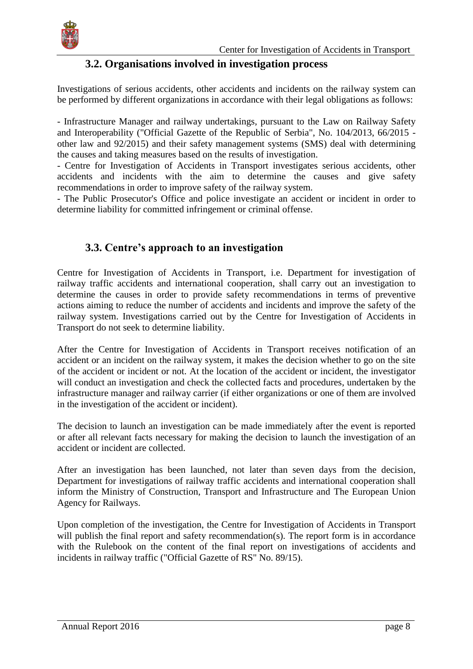

#### **3.2. Organisations involved in investigation process**

<span id="page-7-0"></span>Investigations of serious accidents, other accidents and incidents on the railway system can be performed by different organizations in accordance with their legal obligations as follows:

- Infrastructure Manager and railway undertakings, pursuant to the Law on Railway Safety and Interoperability ("Official Gazette of the Republic of Serbia", No. 104/2013, 66/2015 other law and 92/2015) and their safety management systems (SMS) deal with determining the causes and taking measures based on the results of investigation.

- Centre for Investigation of Accidents in Transport investigates serious accidents, other accidents and incidents with the aim to determine the causes and give safety recommendations in order to improve safety of the railway system.

- The Public Prosecutor's Office and police investigate an accident or incident in order to determine liability for committed infringement or criminal offense.

#### <span id="page-7-1"></span>**3.3. Centre's approach to an investigation**

Centre for Investigation of Accidents in Transport, i.e. Department for investigation of railway traffic accidents and international cooperation, shall carry out an investigation to determine the causes in order to provide safety recommendations in terms of preventive actions aiming to reduce the number of accidents and incidents and improve the safety of the railway system. Investigations carried out by the Centre for Investigation of Accidents in Transport do not seek to determine liability.

After the Centre for Investigation of Accidents in Transport receives notification of an accident or an incident on the railway system, it makes the decision whether to go on the site of the accident or incident or not. At the location of the accident or incident, the investigator will conduct an investigation and check the collected facts and procedures, undertaken by the infrastructure manager and railway carrier (if either organizations or one of them are involved in the investigation of the accident or incident).

The decision to launch an investigation can be made immediately after the event is reported or after all relevant facts necessary for making the decision to launch the investigation of an accident or incident are collected.

After an investigation has been launched, not later than seven days from the decision, Department for investigations of railway traffic accidents and international cooperation shall inform the Ministry of Construction, Transport and Infrastructure and The European Union Agency for Railways.

Upon completion of the investigation, the Centre for Investigation of Accidents in Transport will publish the final report and safety recommendation(s). The report form is in accordance with the Rulebook on the content of the final report on investigations of accidents and incidents in railway traffic ("Official Gazette of RS" No. 89/15).